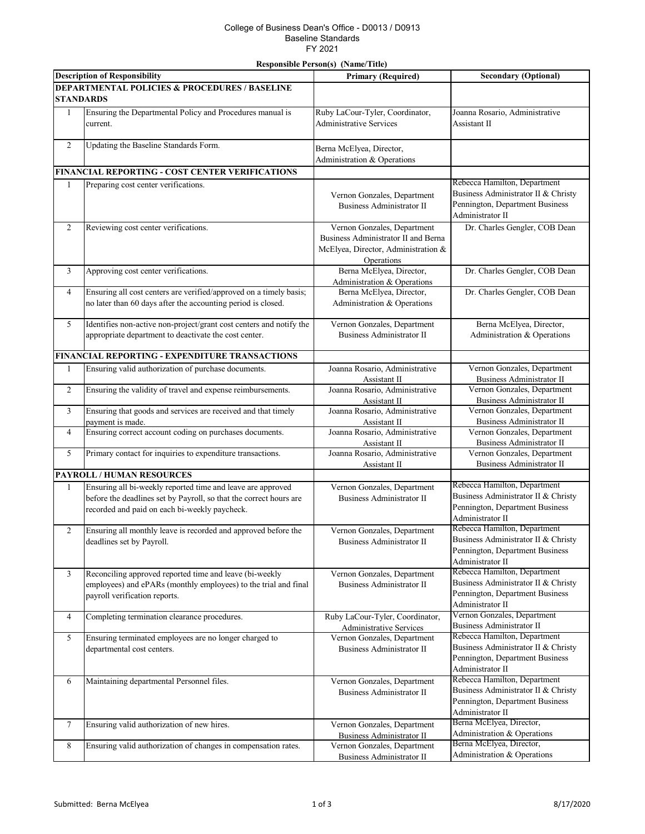## College of Business Dean's Office - D0013 / D0913 Baseline Standards FY 2021

## **Responsible Person(s) (Name/Title)**

| <b>Description of Responsibility</b>                     |                                                                                                                                                                                    | <b>Primary (Required)</b>                                                                                               | <b>Secondary (Optional)</b>                                                                                                |
|----------------------------------------------------------|------------------------------------------------------------------------------------------------------------------------------------------------------------------------------------|-------------------------------------------------------------------------------------------------------------------------|----------------------------------------------------------------------------------------------------------------------------|
| <b>DEPARTMENTAL POLICIES &amp; PROCEDURES / BASELINE</b> |                                                                                                                                                                                    |                                                                                                                         |                                                                                                                            |
| <b>STANDARDS</b>                                         |                                                                                                                                                                                    |                                                                                                                         |                                                                                                                            |
| 1                                                        | Ensuring the Departmental Policy and Procedures manual is<br>current.                                                                                                              | Ruby LaCour-Tyler, Coordinator,<br><b>Administrative Services</b>                                                       | Joanna Rosario, Administrative<br>Assistant II                                                                             |
| $\overline{c}$                                           | Updating the Baseline Standards Form.                                                                                                                                              | Berna McElyea, Director,<br>Administration & Operations                                                                 |                                                                                                                            |
|                                                          | FINANCIAL REPORTING - COST CENTER VERIFICATIONS                                                                                                                                    |                                                                                                                         |                                                                                                                            |
| 1                                                        | Preparing cost center verifications.                                                                                                                                               | Vernon Gonzales, Department<br>Business Administrator II                                                                | Rebecca Hamilton, Department<br>Business Administrator II & Christy<br>Pennington, Department Business<br>Administrator II |
| $\overline{c}$                                           | Reviewing cost center verifications.                                                                                                                                               | Vernon Gonzales, Department<br>Business Administrator II and Berna<br>McElyea, Director, Administration &<br>Operations | Dr. Charles Gengler, COB Dean                                                                                              |
| 3                                                        | Approving cost center verifications.                                                                                                                                               | Berna McElyea, Director,<br>Administration & Operations                                                                 | Dr. Charles Gengler, COB Dean                                                                                              |
| $\overline{\mathcal{L}}$                                 | Ensuring all cost centers are verified/approved on a timely basis;<br>no later than 60 days after the accounting period is closed.                                                 | Berna McElyea, Director,<br>Administration & Operations                                                                 | Dr. Charles Gengler, COB Dean                                                                                              |
| 5                                                        | Identifies non-active non-project/grant cost centers and notify the<br>appropriate department to deactivate the cost center.                                                       | Vernon Gonzales, Department<br>Business Administrator II                                                                | Berna McElyea, Director,<br>Administration & Operations                                                                    |
|                                                          | <b>FINANCIAL REPORTING - EXPENDITURE TRANSACTIONS</b>                                                                                                                              |                                                                                                                         |                                                                                                                            |
| $\mathbf{1}$                                             | Ensuring valid authorization of purchase documents.                                                                                                                                | Joanna Rosario, Administrative<br>Assistant II                                                                          | Vernon Gonzales, Department<br><b>Business Administrator II</b>                                                            |
| $\overline{c}$                                           | Ensuring the validity of travel and expense reimbursements.                                                                                                                        | Joanna Rosario, Administrative<br>Assistant II                                                                          | Vernon Gonzales, Department<br><b>Business Administrator II</b>                                                            |
| 3                                                        | Ensuring that goods and services are received and that timely<br>payment is made.                                                                                                  | Joanna Rosario, Administrative<br>Assistant II                                                                          | Vernon Gonzales, Department<br><b>Business Administrator II</b>                                                            |
| $\overline{\mathcal{L}}$                                 | Ensuring correct account coding on purchases documents.                                                                                                                            | Joanna Rosario, Administrative<br>Assistant II                                                                          | Vernon Gonzales, Department<br><b>Business Administrator II</b>                                                            |
| 5                                                        | Primary contact for inquiries to expenditure transactions.                                                                                                                         | Joanna Rosario, Administrative<br>Assistant II                                                                          | Vernon Gonzales, Department<br><b>Business Administrator II</b>                                                            |
|                                                          | <b>PAYROLL / HUMAN RESOURCES</b>                                                                                                                                                   |                                                                                                                         |                                                                                                                            |
| $\mathbf{1}$                                             | Ensuring all bi-weekly reported time and leave are approved<br>before the deadlines set by Payroll, so that the correct hours are<br>recorded and paid on each bi-weekly paycheck. | Vernon Gonzales, Department<br><b>Business Administrator II</b>                                                         | Rebecca Hamilton, Department<br>Business Administrator II & Christy<br>Pennington, Department Business<br>Administrator II |
| 2                                                        | Ensuring all monthly leave is recorded and approved before the<br>deadlines set by Payroll.                                                                                        | Vernon Gonzales, Department<br>Business Administrator II                                                                | Rebecca Hamilton, Department<br>Business Administrator II & Christy<br>Pennington, Department Business<br>Administrator II |
| 3                                                        | Reconciling approved reported time and leave (bi-weekly<br>employees) and ePARs (monthly employees) to the trial and final<br>payroll verification reports.                        | Vernon Gonzales, Department<br><b>Business Administrator II</b>                                                         | Rebecca Hamilton, Department<br>Business Administrator II & Christy<br>Pennington, Department Business<br>Administrator II |
| 4                                                        | Completing termination clearance procedures.                                                                                                                                       | Ruby LaCour-Tyler, Coordinator,<br><b>Administrative Services</b>                                                       | Vernon Gonzales, Department<br><b>Business Administrator II</b>                                                            |
| 5                                                        | Ensuring terminated employees are no longer charged to<br>departmental cost centers.                                                                                               | Vernon Gonzales, Department<br><b>Business Administrator II</b>                                                         | Rebecca Hamilton, Department<br>Business Administrator II & Christy<br>Pennington, Department Business<br>Administrator II |
| 6                                                        | Maintaining departmental Personnel files.                                                                                                                                          | Vernon Gonzales, Department<br><b>Business Administrator II</b>                                                         | Rebecca Hamilton, Department<br>Business Administrator II & Christy<br>Pennington, Department Business<br>Administrator II |
| $\tau$                                                   | Ensuring valid authorization of new hires.                                                                                                                                         | Vernon Gonzales, Department<br><b>Business Administrator II</b>                                                         | Berna McElyea, Director,<br>Administration & Operations                                                                    |
| 8                                                        | Ensuring valid authorization of changes in compensation rates.                                                                                                                     | Vernon Gonzales, Department<br><b>Business Administrator II</b>                                                         | Berna McElyea, Director,<br>Administration & Operations                                                                    |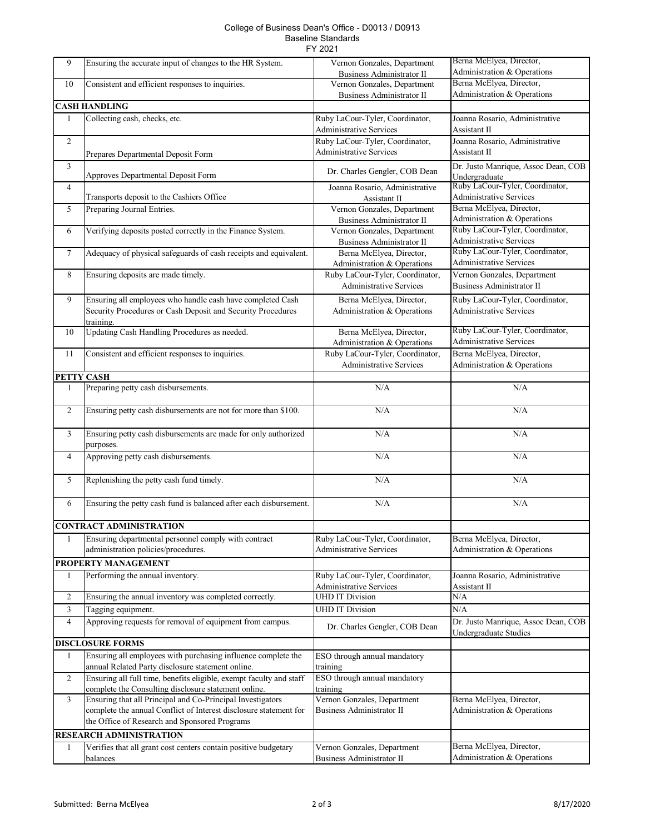## College of Business Dean's Office - D0013 / D0913 Baseline Standards FY 2021

| 9              | Ensuring the accurate input of changes to the HR System.            | Vernon Gonzales, Department<br><b>Business Administrator II</b> | Berna McElyea, Director,<br>Administration & Operations |
|----------------|---------------------------------------------------------------------|-----------------------------------------------------------------|---------------------------------------------------------|
|                |                                                                     |                                                                 | Berna McElyea, Director,                                |
| 10             | Consistent and efficient responses to inquiries.                    | Vernon Gonzales, Department                                     |                                                         |
|                |                                                                     | <b>Business Administrator II</b>                                | Administration & Operations                             |
|                | <b>CASH HANDLING</b>                                                |                                                                 |                                                         |
| $\mathbf{1}$   | Collecting cash, checks, etc.                                       | Ruby LaCour-Tyler, Coordinator,                                 | Joanna Rosario, Administrative                          |
|                |                                                                     | <b>Administrative Services</b>                                  | Assistant II                                            |
| $\overline{c}$ |                                                                     | Ruby LaCour-Tyler, Coordinator,                                 | Joanna Rosario, Administrative                          |
|                |                                                                     |                                                                 |                                                         |
|                | Prepares Departmental Deposit Form                                  | <b>Administrative Services</b>                                  | Assistant II                                            |
| $\overline{3}$ |                                                                     |                                                                 | Dr. Justo Manrique, Assoc Dean, COB                     |
|                | Approves Departmental Deposit Form                                  | Dr. Charles Gengler, COB Dean                                   | Undergraduate                                           |
| 4              |                                                                     | Joanna Rosario, Administrative                                  | Ruby LaCour-Tyler, Coordinator,                         |
|                | Transports deposit to the Cashiers Office                           | Assistant II                                                    | <b>Administrative Services</b>                          |
|                |                                                                     |                                                                 | Berna McElyea, Director,                                |
| 5              | Preparing Journal Entries.                                          | Vernon Gonzales, Department                                     |                                                         |
|                |                                                                     | <b>Business Administrator II</b>                                | Administration & Operations                             |
| 6              | Verifying deposits posted correctly in the Finance System.          | Vernon Gonzales, Department                                     | Ruby LaCour-Tyler, Coordinator,                         |
|                |                                                                     | <b>Business Administrator II</b>                                | <b>Administrative Services</b>                          |
| 7              | Adequacy of physical safeguards of cash receipts and equivalent.    | Berna McElyea, Director,                                        | Ruby LaCour-Tyler, Coordinator,                         |
|                |                                                                     | Administration & Operations                                     | Administrative Services                                 |
| 8              | Ensuring deposits are made timely.                                  | Ruby LaCour-Tyler, Coordinator,                                 | Vernon Gonzales, Department                             |
|                |                                                                     |                                                                 |                                                         |
|                |                                                                     | <b>Administrative Services</b>                                  | <b>Business Administrator II</b>                        |
| 9              | Ensuring all employees who handle cash have completed Cash          | Berna McElyea, Director,                                        | Ruby LaCour-Tyler, Coordinator,                         |
|                | Security Procedures or Cash Deposit and Security Procedures         | Administration & Operations                                     | <b>Administrative Services</b>                          |
|                | training.                                                           |                                                                 |                                                         |
|                |                                                                     |                                                                 | Ruby LaCour-Tyler, Coordinator,                         |
| 10             | Updating Cash Handling Procedures as needed.                        | Berna McElyea, Director,                                        | <b>Administrative Services</b>                          |
|                |                                                                     | Administration & Operations                                     |                                                         |
| 11             | Consistent and efficient responses to inquiries.                    | Ruby LaCour-Tyler, Coordinator,                                 | Berna McElyea, Director,                                |
|                |                                                                     | <b>Administrative Services</b>                                  | Administration & Operations                             |
| PETTY CASH     |                                                                     |                                                                 |                                                         |
| 1              | Preparing petty cash disbursements.                                 | N/A                                                             | N/A                                                     |
|                |                                                                     |                                                                 |                                                         |
|                |                                                                     |                                                                 |                                                         |
| $\overline{2}$ | Ensuring petty cash disbursements are not for more than \$100.      | N/A                                                             | N/A                                                     |
|                |                                                                     |                                                                 |                                                         |
| 3              | Ensuring petty cash disbursements are made for only authorized      | N/A                                                             | N/A                                                     |
|                | purposes.                                                           |                                                                 |                                                         |
|                |                                                                     |                                                                 |                                                         |
| 4              | Approving petty cash disbursements.                                 | $\rm N/A$                                                       | N/A                                                     |
|                |                                                                     |                                                                 |                                                         |
| 5              | Replenishing the petty cash fund timely.                            | N/A                                                             | N/A                                                     |
|                |                                                                     |                                                                 |                                                         |
| 6              | Ensuring the petty cash fund is balanced after each disbursement.   | $\rm N/A$                                                       | N/A                                                     |
|                |                                                                     |                                                                 |                                                         |
|                |                                                                     |                                                                 |                                                         |
|                | <b>CONTRACT ADMINISTRATION</b>                                      |                                                                 |                                                         |
| 1              | Ensuring departmental personnel comply with contract                | Ruby LaCour-Tyler, Coordinator,                                 | Berna McElyea, Director,                                |
|                | administration policies/procedures.                                 | <b>Administrative Services</b>                                  | Administration & Operations                             |
|                |                                                                     |                                                                 |                                                         |
|                | PROPERTY MANAGEMENT                                                 |                                                                 |                                                         |
| $\mathbf{1}$   | Performing the annual inventory.                                    | Ruby LaCour-Tyler, Coordinator,                                 | Joanna Rosario, Administrative                          |
|                |                                                                     | <b>Administrative Services</b>                                  | Assistant II                                            |
| $\overline{c}$ | Ensuring the annual inventory was completed correctly.              | <b>UHD IT Division</b>                                          | N/A                                                     |
| 3              | Tagging equipment.                                                  | <b>UHD IT Division</b>                                          | N/A                                                     |
|                |                                                                     |                                                                 |                                                         |
| 4              | Approving requests for removal of equipment from campus.            | Dr. Charles Gengler, COB Dean                                   | Dr. Justo Manrique, Assoc Dean, COB                     |
|                |                                                                     |                                                                 | Undergraduate Studies                                   |
|                | <b>DISCLOSURE FORMS</b>                                             |                                                                 |                                                         |
| $\mathbf{1}$   | Ensuring all employees with purchasing influence complete the       | ESO through annual mandatory                                    |                                                         |
|                | annual Related Party disclosure statement online.                   |                                                                 |                                                         |
|                |                                                                     | training                                                        |                                                         |
| $\overline{2}$ | Ensuring all full time, benefits eligible, exempt faculty and staff | ESO through annual mandatory                                    |                                                         |
|                | complete the Consulting disclosure statement online.                | training                                                        |                                                         |
| 3              | Ensuring that all Principal and Co-Principal Investigators          | Vernon Gonzales, Department                                     | Berna McElyea, Director,                                |
|                | complete the annual Conflict of Interest disclosure statement for   | <b>Business Administrator II</b>                                | Administration & Operations                             |
|                | the Office of Research and Sponsored Programs                       |                                                                 |                                                         |
|                |                                                                     |                                                                 |                                                         |
|                | <b>RESEARCH ADMINISTRATION</b>                                      |                                                                 |                                                         |
| $\mathbf{1}$   | Verifies that all grant cost centers contain positive budgetary     | Vernon Gonzales, Department                                     | Berna McElyea, Director,                                |
|                | balances                                                            | <b>Business Administrator II</b>                                | Administration & Operations                             |